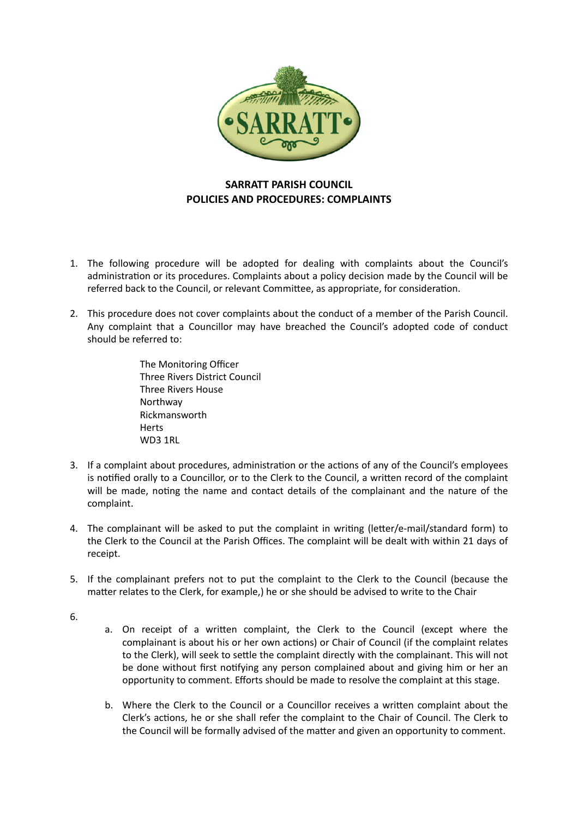

## **SARRATT PARISH COUNCIL POLICIES AND PROCEDURES: COMPLAINTS**

- 1. The following procedure will be adopted for dealing with complaints about the Council's administration or its procedures. Complaints about a policy decision made by the Council will be referred back to the Council, or relevant Committee, as appropriate, for consideration.
- 2. This procedure does not cover complaints about the conduct of a member of the Parish Council. Any complaint that a Councillor may have breached the Council's adopted code of conduct should be referred to:

The Monitoring Officer Three Rivers District Council Three Rivers House Northway Rickmansworth Herts WD3 1RL

- 3. If a complaint about procedures, administration or the actions of any of the Council's employees is notified orally to a Councillor, or to the Clerk to the Council, a written record of the complaint will be made, noting the name and contact details of the complainant and the nature of the complaint.
- 4. The complainant will be asked to put the complaint in writing (letter/e-mail/standard form) to the Clerk to the Council at the Parish Offices. The complaint will be dealt with within 21 days of receipt.
- 5. If the complainant prefers not to put the complaint to the Clerk to the Council (because the matter relates to the Clerk, for example,) he or she should be advised to write to the Chair
- 6.
- a. On receipt of a written complaint, the Clerk to the Council (except where the complainant is about his or her own actions) or Chair of Council (if the complaint relates to the Clerk), will seek to settle the complaint directly with the complainant. This will not be done without first notifying any person complained about and giving him or her an opportunity to comment. Efforts should be made to resolve the complaint at this stage.
- b. Where the Clerk to the Council or a Councillor receives a written complaint about the Clerk's actions, he or she shall refer the complaint to the Chair of Council. The Clerk to the Council will be formally advised of the matter and given an opportunity to comment.